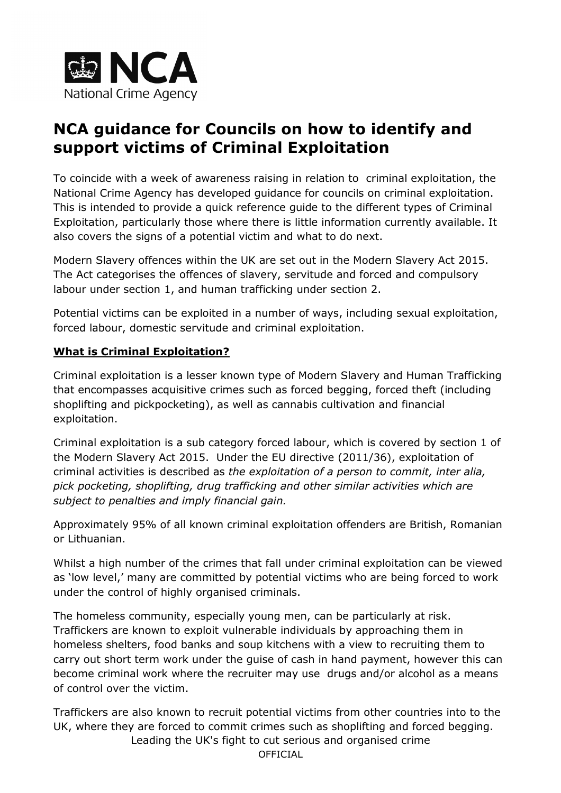

# **NCA guidance for Councils on how to identify and support victims of Criminal Exploitation**

To coincide with a week of awareness raising in relation to criminal exploitation, the National Crime Agency has developed guidance for councils on criminal exploitation. This is intended to provide a quick reference guide to the different types of Criminal Exploitation, particularly those where there is little information currently available. It also covers the signs of a potential victim and what to do next.

Modern Slavery offences within the UK are set out in the Modern Slavery Act 2015. The Act categorises the offences of slavery, servitude and forced and compulsory labour under section 1, and human trafficking under section 2.

Potential victims can be exploited in a number of ways, including sexual exploitation, forced labour, domestic servitude and criminal exploitation.

# **What is Criminal Exploitation?**

Criminal exploitation is a lesser known type of Modern Slavery and Human Trafficking that encompasses acquisitive crimes such as forced begging, forced theft (including shoplifting and pickpocketing), as well as cannabis cultivation and financial exploitation.

Criminal exploitation is a sub category forced labour, which is covered by section 1 of the Modern Slavery Act 2015. Under the EU directive (2011/36), exploitation of criminal activities is described as *the exploitation of a person to commit, inter alia, pick pocketing, shoplifting, drug trafficking and other similar activities which are subject to penalties and imply financial gain.* 

Approximately 95% of all known criminal exploitation offenders are British, Romanian or Lithuanian.

Whilst a high number of the crimes that fall under criminal exploitation can be viewed as 'low level,' many are committed by potential victims who are being forced to work under the control of highly organised criminals.

The homeless community, especially young men, can be particularly at risk. Traffickers are known to exploit vulnerable individuals by approaching them in homeless shelters, food banks and soup kitchens with a view to recruiting them to carry out short term work under the guise of cash in hand payment, however this can become criminal work where the recruiter may use drugs and/or alcohol as a means of control over the victim.

Traffickers are also known to recruit potential victims from other countries into to the UK, where they are forced to commit crimes such as shoplifting and forced begging.

Leading the UK's fight to cut serious and organised crime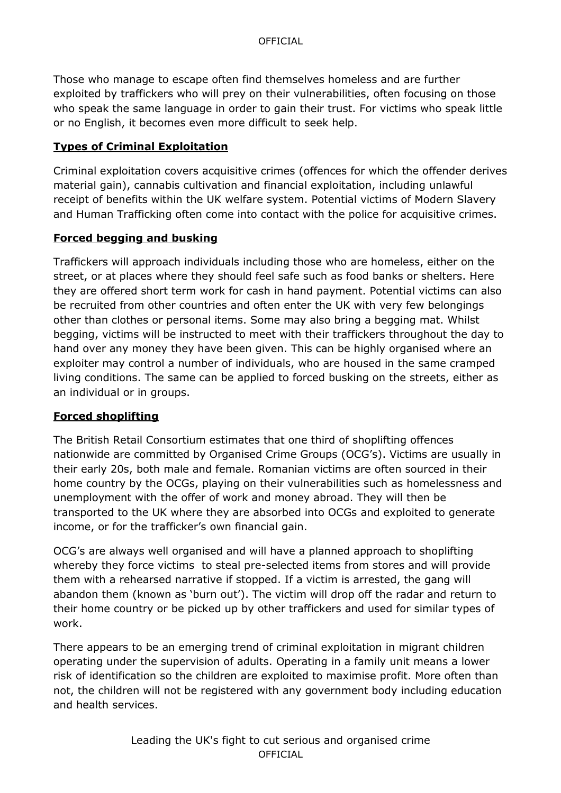Those who manage to escape often find themselves homeless and are further exploited by traffickers who will prey on their vulnerabilities, often focusing on those who speak the same language in order to gain their trust. For victims who speak little or no English, it becomes even more difficult to seek help.

## **Types of Criminal Exploitation**

Criminal exploitation covers acquisitive crimes (offences for which the offender derives material gain), cannabis cultivation and financial exploitation, including unlawful receipt of benefits within the UK welfare system. Potential victims of Modern Slavery and Human Trafficking often come into contact with the police for acquisitive crimes.

### **Forced begging and busking**

Traffickers will approach individuals including those who are homeless, either on the street, or at places where they should feel safe such as food banks or shelters. Here they are offered short term work for cash in hand payment. Potential victims can also be recruited from other countries and often enter the UK with very few belongings other than clothes or personal items. Some may also bring a begging mat. Whilst begging, victims will be instructed to meet with their traffickers throughout the day to hand over any money they have been given. This can be highly organised where an exploiter may control a number of individuals, who are housed in the same cramped living conditions. The same can be applied to forced busking on the streets, either as an individual or in groups.

### **Forced shoplifting**

The British Retail Consortium estimates that one third of shoplifting offences nationwide are committed by Organised Crime Groups (OCG's). Victims are usually in their early 20s, both male and female. Romanian victims are often sourced in their home country by the OCGs, playing on their vulnerabilities such as homelessness and unemployment with the offer of work and money abroad. They will then be transported to the UK where they are absorbed into OCGs and exploited to generate income, or for the trafficker's own financial gain.

OCG's are always well organised and will have a planned approach to shoplifting whereby they force victims to steal pre-selected items from stores and will provide them with a rehearsed narrative if stopped. If a victim is arrested, the gang will abandon them (known as 'burn out'). The victim will drop off the radar and return to their home country or be picked up by other traffickers and used for similar types of work.

There appears to be an emerging trend of criminal exploitation in migrant children operating under the supervision of adults. Operating in a family unit means a lower risk of identification so the children are exploited to maximise profit. More often than not, the children will not be registered with any government body including education and health services.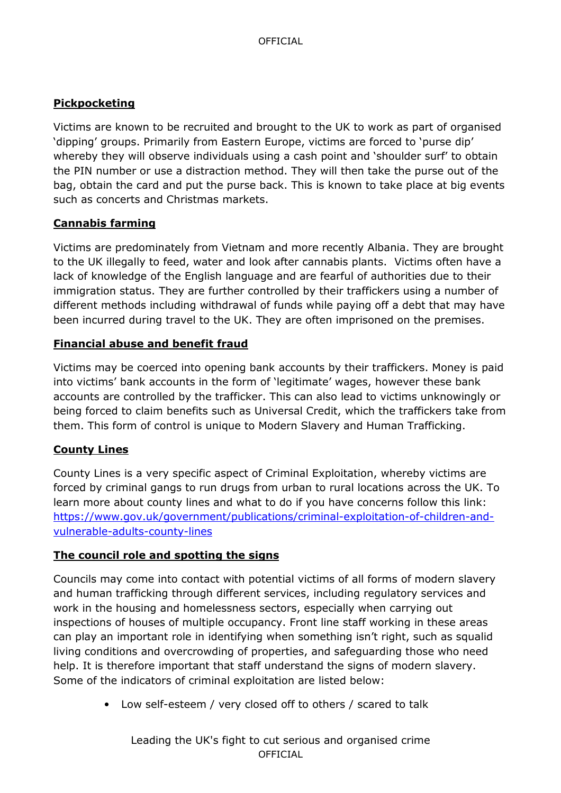# **Pickpocketing**

Victims are known to be recruited and brought to the UK to work as part of organised 'dipping' groups. Primarily from Eastern Europe, victims are forced to 'purse dip' whereby they will observe individuals using a cash point and 'shoulder surf' to obtain the PIN number or use a distraction method. They will then take the purse out of the bag, obtain the card and put the purse back. This is known to take place at big events such as concerts and Christmas markets.

### **Cannabis farming**

Victims are predominately from Vietnam and more recently Albania. They are brought to the UK illegally to feed, water and look after cannabis plants. Victims often have a lack of knowledge of the English language and are fearful of authorities due to their immigration status. They are further controlled by their traffickers using a number of different methods including withdrawal of funds while paying off a debt that may have been incurred during travel to the UK. They are often imprisoned on the premises.

#### **Financial abuse and benefit fraud**

Victims may be coerced into opening bank accounts by their traffickers. Money is paid into victims' bank accounts in the form of 'legitimate' wages, however these bank accounts are controlled by the trafficker. This can also lead to victims unknowingly or being forced to claim benefits such as Universal Credit, which the traffickers take from them. This form of control is unique to Modern Slavery and Human Trafficking.

### **County Lines**

County Lines is a very specific aspect of Criminal Exploitation, whereby victims are forced by criminal gangs to run drugs from urban to rural locations across the UK. To learn more about county lines and what to do if you have concerns follow this link: https://www.gov.uk/government/publications/criminal-exploitation-of-children-andvulnerable-adults-county-lines

#### **The council role and spotting the signs**

Councils may come into contact with potential victims of all forms of modern slavery and human trafficking through different services, including regulatory services and work in the housing and homelessness sectors, especially when carrying out inspections of houses of multiple occupancy. Front line staff working in these areas can play an important role in identifying when something isn't right, such as squalid living conditions and overcrowding of properties, and safeguarding those who need help. It is therefore important that staff understand the signs of modern slavery. Some of the indicators of criminal exploitation are listed below:

• Low self-esteem / very closed off to others / scared to talk